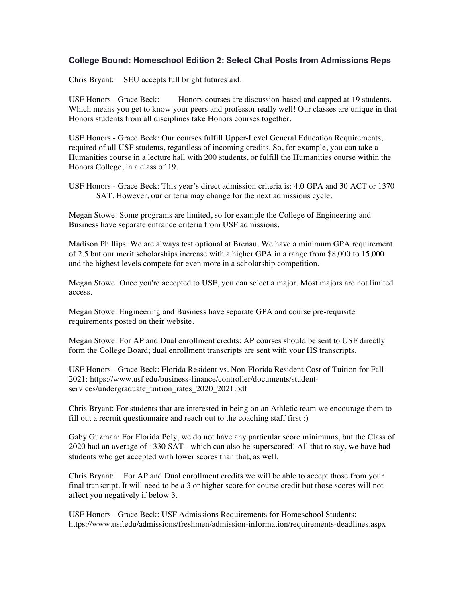## **College Bound: Homeschool Edition 2: Select Chat Posts from Admissions Reps**

Chris Bryant: SEU accepts full bright futures aid.

USF Honors - Grace Beck: Honors courses are discussion-based and capped at 19 students. Which means you get to know your peers and professor really well! Our classes are unique in that Honors students from all disciplines take Honors courses together.

USF Honors - Grace Beck: Our courses fulfill Upper-Level General Education Requirements, required of all USF students, regardless of incoming credits. So, for example, you can take a Humanities course in a lecture hall with 200 students, or fulfill the Humanities course within the Honors College, in a class of 19.

USF Honors - Grace Beck: This year's direct admission criteria is: 4.0 GPA and 30 ACT or 1370 SAT. However, our criteria may change for the next admissions cycle.

Megan Stowe: Some programs are limited, so for example the College of Engineering and Business have separate entrance criteria from USF admissions.

Madison Phillips: We are always test optional at Brenau. We have a minimum GPA requirement of 2.5 but our merit scholarships increase with a higher GPA in a range from \$8,000 to 15,000 and the highest levels compete for even more in a scholarship competition.

Megan Stowe: Once you're accepted to USF, you can select a major. Most majors are not limited access.

Megan Stowe: Engineering and Business have separate GPA and course pre-requisite requirements posted on their website.

Megan Stowe: For AP and Dual enrollment credits: AP courses should be sent to USF directly form the College Board; dual enrollment transcripts are sent with your HS transcripts.

USF Honors - Grace Beck: Florida Resident vs. Non-Florida Resident Cost of Tuition for Fall 2021: https://www.usf.edu/business-finance/controller/documents/studentservices/undergraduate\_tuition\_rates\_2020\_2021.pdf

Chris Bryant: For students that are interested in being on an Athletic team we encourage them to fill out a recruit questionnaire and reach out to the coaching staff first :)

Gaby Guzman: For Florida Poly, we do not have any particular score minimums, but the Class of 2020 had an average of 1330 SAT - which can also be superscored! All that to say, we have had students who get accepted with lower scores than that, as well.

Chris Bryant: For AP and Dual enrollment credits we will be able to accept those from your final transcript. It will need to be a 3 or higher score for course credit but those scores will not affect you negatively if below 3.

USF Honors - Grace Beck: USF Admissions Requirements for Homeschool Students: https://www.usf.edu/admissions/freshmen/admission-information/requirements-deadlines.aspx